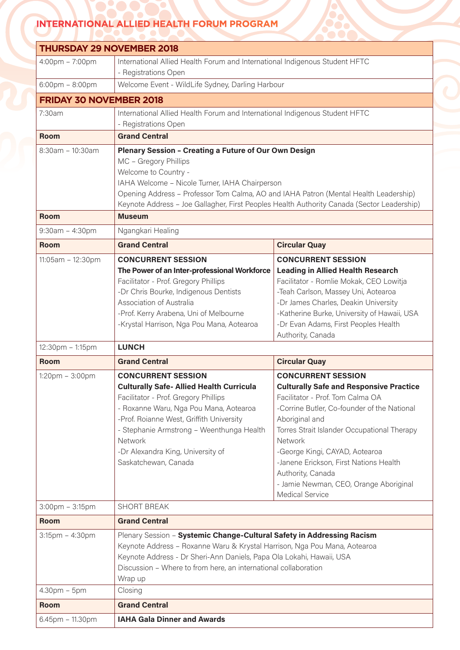## **INTERNATIONAL ALLIED HEALTH FORUM PROGRAM**

|                                   | <b>THURSDAY 29 NOVEMBER 2018</b>                                                                                                                                                                                                                                                                                                                      |                                                                                                                                                                                                                                                                                                                                                                                                                 |
|-----------------------------------|-------------------------------------------------------------------------------------------------------------------------------------------------------------------------------------------------------------------------------------------------------------------------------------------------------------------------------------------------------|-----------------------------------------------------------------------------------------------------------------------------------------------------------------------------------------------------------------------------------------------------------------------------------------------------------------------------------------------------------------------------------------------------------------|
|                                   |                                                                                                                                                                                                                                                                                                                                                       |                                                                                                                                                                                                                                                                                                                                                                                                                 |
| 4:00pm - 7:00pm                   | International Allied Health Forum and International Indigenous Student HFTC<br>- Registrations Open                                                                                                                                                                                                                                                   |                                                                                                                                                                                                                                                                                                                                                                                                                 |
| $6:00 \text{pm} - 8:00 \text{pm}$ | Welcome Event - WildLife Sydney, Darling Harbour                                                                                                                                                                                                                                                                                                      |                                                                                                                                                                                                                                                                                                                                                                                                                 |
| <b>FRIDAY 30 NOVEMBER 2018</b>    |                                                                                                                                                                                                                                                                                                                                                       |                                                                                                                                                                                                                                                                                                                                                                                                                 |
| 7:30am                            | International Allied Health Forum and International Indigenous Student HFTC<br>- Registrations Open                                                                                                                                                                                                                                                   |                                                                                                                                                                                                                                                                                                                                                                                                                 |
| <b>Room</b>                       | <b>Grand Central</b>                                                                                                                                                                                                                                                                                                                                  |                                                                                                                                                                                                                                                                                                                                                                                                                 |
| 8:30am - 10:30am                  | <b>Plenary Session - Creating a Future of Our Own Design</b><br>MC - Gregory Phillips<br>Welcome to Country -<br>IAHA Welcome - Nicole Turner, IAHA Chairperson<br>Opening Address - Professor Tom Calma, AO and IAHA Patron (Mental Health Leadership)<br>Keynote Address - Joe Gallagher, First Peoples Health Authority Canada (Sector Leadership) |                                                                                                                                                                                                                                                                                                                                                                                                                 |
| <b>Room</b>                       | <b>Museum</b>                                                                                                                                                                                                                                                                                                                                         |                                                                                                                                                                                                                                                                                                                                                                                                                 |
| $9:30am - 4:30pm$                 | Ngangkari Healing                                                                                                                                                                                                                                                                                                                                     |                                                                                                                                                                                                                                                                                                                                                                                                                 |
| <b>Room</b>                       | <b>Grand Central</b>                                                                                                                                                                                                                                                                                                                                  | <b>Circular Quay</b>                                                                                                                                                                                                                                                                                                                                                                                            |
| 11:05am - 12:30pm                 | <b>CONCURRENT SESSION</b>                                                                                                                                                                                                                                                                                                                             | <b>CONCURRENT SESSION</b>                                                                                                                                                                                                                                                                                                                                                                                       |
|                                   | The Power of an Inter-professional Workforce<br>Facilitator - Prof. Gregory Phillips<br>-Dr Chris Bourke, Indigenous Dentists<br>Association of Australia<br>-Prof. Kerry Arabena, Uni of Melbourne<br>-Krystal Harrison, Nga Pou Mana, Aotearoa                                                                                                      | <b>Leading in Allied Health Research</b><br>Facilitator - Romlie Mokak, CEO Lowitja<br>-Teah Carlson, Massey Uni, Aotearoa<br>-Dr James Charles, Deakin University<br>-Katherine Burke, University of Hawaii, USA<br>-Dr Evan Adams, First Peoples Health<br>Authority, Canada                                                                                                                                  |
| 12:30pm - 1:15pm                  | <b>LUNCH</b>                                                                                                                                                                                                                                                                                                                                          |                                                                                                                                                                                                                                                                                                                                                                                                                 |
| <b>Room</b>                       | <b>Grand Central</b>                                                                                                                                                                                                                                                                                                                                  | <b>Circular Quay</b>                                                                                                                                                                                                                                                                                                                                                                                            |
| $1:20$ pm $-3:00$ pm              | <b>CONCURRENT SESSION</b><br><b>Culturally Safe- Allied Health Curricula</b><br>Facilitator - Prof. Gregory Phillips<br>- Roxanne Waru, Nga Pou Mana, Aotearoa<br>-Prof. Roianne West, Griffith University<br>- Stephanie Armstrong - Weenthunga Health<br>Network<br>-Dr Alexandra King, University of<br>Saskatchewan, Canada                       | <b>CONCURRENT SESSION</b><br><b>Culturally Safe and Responsive Practice</b><br>Facilitator - Prof. Tom Calma OA<br>-Corrine Butler, Co-founder of the National<br>Aboriginal and<br>Torres Strait Islander Occupational Therapy<br>Network<br>-George Kingi, CAYAD, Aotearoa<br>-Janene Erickson, First Nations Health<br>Authority, Canada<br>- Jamie Newman, CEO, Orange Aboriginal<br><b>Medical Service</b> |
| $3:00$ pm $-3:15$ pm              | <b>SHORT BREAK</b>                                                                                                                                                                                                                                                                                                                                    |                                                                                                                                                                                                                                                                                                                                                                                                                 |
| <b>Room</b>                       | <b>Grand Central</b>                                                                                                                                                                                                                                                                                                                                  |                                                                                                                                                                                                                                                                                                                                                                                                                 |
| 3:15pm - 4:30pm                   | Plenary Session - Systemic Change-Cultural Safety in Addressing Racism<br>Keynote Address - Roxanne Waru & Krystal Harrison, Nga Pou Mana, Aotearoa<br>Keynote Address - Dr Sheri-Ann Daniels, Papa Ola Lokahi, Hawaii, USA<br>Discussion - Where to from here, an international collaboration<br>Wrap up                                             |                                                                                                                                                                                                                                                                                                                                                                                                                 |
| $4.30pm - 5pm$                    | Closing                                                                                                                                                                                                                                                                                                                                               |                                                                                                                                                                                                                                                                                                                                                                                                                 |
|                                   | <b>Grand Central</b>                                                                                                                                                                                                                                                                                                                                  |                                                                                                                                                                                                                                                                                                                                                                                                                 |
| <b>Room</b>                       |                                                                                                                                                                                                                                                                                                                                                       |                                                                                                                                                                                                                                                                                                                                                                                                                 |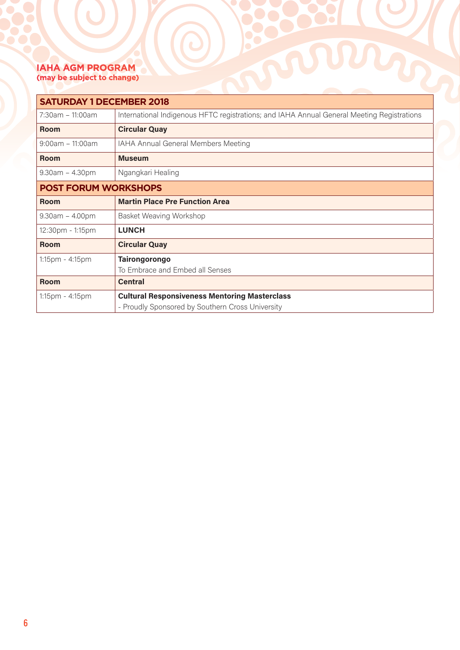## **IAHA AGM PROGRAM (may be subject to change)**

| <b>IAHA AGM PROGRAM</b><br>(may be subject to change)<br><b>SATURDAY 1 DECEMBER 2018</b> |                                                                                                          |  |
|------------------------------------------------------------------------------------------|----------------------------------------------------------------------------------------------------------|--|
|                                                                                          |                                                                                                          |  |
| <b>Room</b>                                                                              | <b>Circular Quay</b>                                                                                     |  |
| $9:00$ am – 11:00am                                                                      | IAHA Annual General Members Meeting                                                                      |  |
| <b>Room</b>                                                                              | <b>Museum</b>                                                                                            |  |
| $9.30am - 4.30pm$                                                                        | Ngangkari Healing                                                                                        |  |
| <b>POST FORUM WORKSHOPS</b>                                                              |                                                                                                          |  |
| <b>Room</b>                                                                              | <b>Martin Place Pre Function Area</b>                                                                    |  |
| $9.30am - 4.00pm$                                                                        | Basket Weaving Workshop                                                                                  |  |
| 12:30pm - 1:15pm                                                                         | <b>LUNCH</b>                                                                                             |  |
| <b>Room</b>                                                                              | <b>Circular Quay</b>                                                                                     |  |
| 1:15pm - 4:15pm                                                                          | <b>Tairongorongo</b><br>To Embrace and Embed all Senses                                                  |  |
| <b>Room</b>                                                                              | <b>Central</b>                                                                                           |  |
| 1:15pm - 4:15pm                                                                          | <b>Cultural Responsiveness Mentoring Masterclass</b><br>- Proudly Sponsored by Southern Cross University |  |